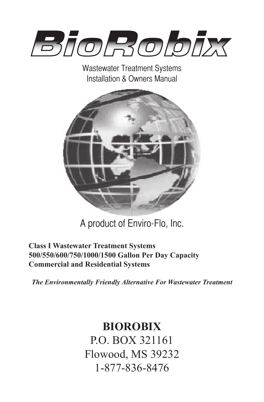

Wastewater Treatment Systems Installation & Owners Manual



A product of Enviro-Flo, Inc.

## **Class I Wastewater Treatment Systems 500/550/600/750/1000/1500 Gallon Per Day Capacity Commercial and Residential Systems**

*The Environmentally Friendly Alternative For Wastewater Treatment*

# **BIOROBIX** P.O. BOX 321161

Flowood, MS 39232 1-877-836-8476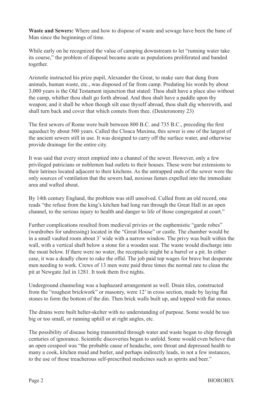**Waste and Sewers:** Where and how to dispose of waste and sewage have been the bane of Man since the beginnings of time.

While early on he recognized the value of camping downstream to let "running water take its course," the problem of disposal became acute as populations proliferated and banded together.

Aristotle instructed his prize pupil, Alexander the Great, to make sure that dung from animals, human waste, etc., was disposed of far from camp. Predating his words by about 3,000 years is the Old Testament injunction that stated: Thou shalt have a place also without the camp, whither thou shalt go forth abroad. And thou shalt have a paddle upon thy weapon; and it shall be when though silt ease thyself abroad, thou shalt dig wherewith, and shall turn back and cover that which comets from thee. (Deuteronomy 23)

The first sewers of Rome were built between 800 B.C. and 735 B.C., preceding the first aqueduct by about 500 years. Called the Cloaca Maxima, this sewer is one of the largest of the ancient sewers still in use. It was designed to carry off the surface water, and otherwise provide drainage for the entire city.

It was said that every street emptied into a channel of the sewer. However, only a few privileged patricians or noblemen had outlets to their houses. These were but extensions to their latrines located adjacent to their kitchens. As the untrapped ends of the sewer were the only sources of ventilation that the sewers had, noxious fumes expelled into the immediate area and wafted about.

By 14th century England, the problem was still unsolved. Culled from an old record, one reads "the refuse from the king's kitchen had long run through the Great Hall in an open channel, to the serious injury to health and danger to life of those congregated at court."

Further complications resulted from medieval privies or the euphemistic "garde robes" (wardrobes for undressing) located in the "Great House" or castle. The chamber would be in a small vaulted room about 3' wide with a narrow window. The privy was built within the wall, with a vertical shaft below a stone for a wooden seat. The waste would discharge into the moat below. If there were no water, the receptacle might be a barrel or a pit. In either case, it was a deadly chore to rake the offal. The job paid top wages for brave but desperate men needing to work. Crews of 13 men were paid three times the normal rate to clean the pit at Newgate Jail in 1281. It took them five nights.

Underground channeling was a haphazard arrangement as well. Drain tiles, constructed from the "roughest brickwork" or masonry, were 12' in cross section, made by laying flat stones to form the bottom of the din. Then brick walls built up, and topped with flat stones.

The drains were built helter-skelter with no understanding of purpose. Some would be too big or too small, or running uphill or at right angles, etc.

The possibility of disease being transmitted through water and waste began to chip through centuries of ignorance. Scientific discoveries began to unfold. Some would even believe that an open cesspool was "the probable cause of headache, sore throat and depressed health to many a cook, kitchen maid and butler, and perhaps indirectly leads, in not a few instances, to the use of those treacherous self-prescribed medicines such as spirits and beer."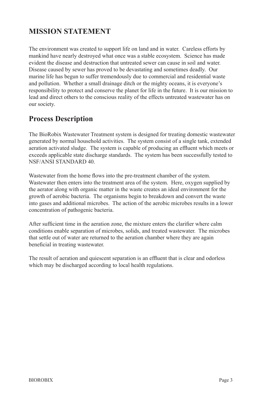## **MISSION STATEMENT**

The environment was created to support life on land and in water. Careless efforts by mankind have nearly destroyed what once was a stable ecosystem. Science has made evident the disease and destruction that untreated sewer can cause in soil and water. Disease caused by sewer has proved to be devastating and sometimes deadly. Our marine life has begun to suffer tremendously due to commercial and residential waste and pollution. Whether a small drainage ditch or the mighty oceans, it is everyone's responsibility to protect and conserve the planet for life in the future. It is our mission to lead and direct others to the conscious reality of the effects untreated wastewater has on our society.

## **Process Description**

The BioRobix Wastewater Treatment system is designed for treating domestic wastewater generated by normal household activities. The system consist of a single tank, extended aeration activated sludge. The system is capable of producing an effluent which meets or exceeds applicable state discharge standards. The system has been successfully tested to NSF/ANSI STANDARD 40.

Wastewater from the home flows into the pre-treatment chamber of the system. Wastewater then enters into the treatment area of the system. Here, oxygen supplied by the aerator along with organic matter in the waste creates an ideal environment for the growth of aerobic bacteria. The organisms begin to breakdown and convert the waste into gases and additional microbes. The action of the aerobic microbes results in a lower concentration of pathogenic bacteria.

After sufficient time in the aeration zone, the mixture enters the clarifier where calm conditions enable separation of microbes, solids, and treated wastewater. The microbes that settle out of water are returned to the aeration chamber where they are again beneficial in treating wastewater.

The result of aeration and quiescent separation is an effluent that is clear and odorless which may be discharged according to local health regulations.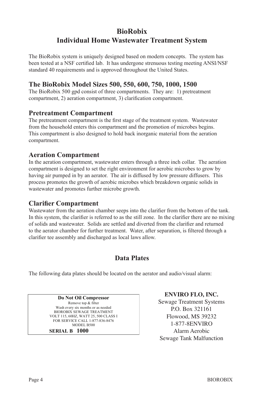## **BioRobix Individual Home Wastewater Treatment System**

The BioRobix system is uniquely designed based on modern concepts. The system has been tested at a NSF certified lab. It has undergone strenuous testing meeting ANSI/NSF standard 40 requirements and is approved throughout the United States.

### **The BioRobix Model Sizes 500, 550, 600, 750, 1000, 1500**

The BioRobix 500 gpd consist of three compartments. They are: 1) pretreatment compartment, 2) aeration compartment, 3) clarification compartment.

#### **Pretreatment Compartment**

The pretreatment compartment is the first stage of the treatment system. Wastewater from the household enters this compartment and the promotion of microbes begins. This compartment is also designed to hold back inorganic material from the aeration compartment.

### **Aeration Compartment**

In the aeration compartment, wastewater enters through a three inch collar. The aeration compartment is designed to set the right environment for aerobic microbes to grow by having air pumped in by an aerator. The air is diffused by low pressure diffusers. This process promotes the growth of aerobic microbes which breakdown organic solids in wastewater and promotes further microbe growth.

### **Clarifier Compartment**

Wastewater from the aeration chamber seeps into the clarifier from the bottom of the tank. In this system, the clarifier is referred to as the still zone. In the clarifier there are no mixing of solids and wastewater. Solids are settled and diverted from the clarifier and returned to the aerator chamber for further treatment. Water, after separation, is filtered through a clarifier tee assembly and discharged as local laws allow.

### **Data Plates**

The following data plates should be located on the aerator and audio/visual alarm:

**Do Not Oil Compressor**  Remove top & filter Wash every six months or as needed BIOROBIX SEWAGE TREATMENT VOLT 115, 60HZ, WATT 25, 500 CLASS I FOR SERVICE CALL 1-877-836-8476 MODEL B500  **SERIAL B 1000**

**ENVIRO FLO, INC.**

Sewage Treatment Systems P.O. Box 321161 Flowood, MS 39232 1-877-8ENVIRO Alarm Aerobic Sewage Tank Malfunction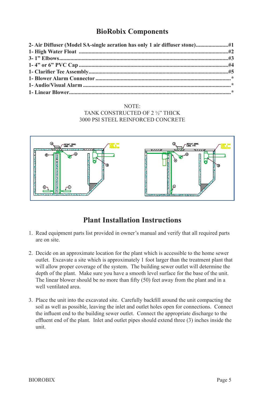## **BioRobix Components**

#### NOTE: TANK CONSTRUCTED OF 2 ½" THICK 3000 PSI STEEL REINFORCED CONCRETE



## **Plant Installation Instructions**

- 1. Read equipment parts list provided in owner's manual and verify that all required parts are on site.
- 2. Decide on an approximate location for the plant which is accessible to the home sewer outlet. Excavate a site which is approximately 1 foot larger than the treatment plant that will allow proper coverage of the system. The building sewer outlet will determine the depth of the plant. Make sure you have a smooth level surface for the base of the unit. The linear blower should be no more than fifty (50) feet away from the plant and in a well ventilated area.
- 3. Place the unit into the excavated site. Carefully backfill around the unit compacting the soil as well as possible, leaving the inlet and outlet holes open for connections. Connect the influent end to the building sewer outlet. Connect the appropriate discharge to the effluent end of the plant. Inlet and outlet pipes should extend three (3) inches inside the unit.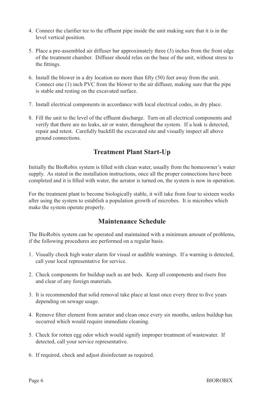- 4. Connect the clarifier tee to the effluent pipe inside the unit making sure that it is in the level vertical position.
- 5. Place a pre-assembled air diffuser bar approximately three (3) inches from the front edge of the treatment chamber. Diffuser should relax on the base of the unit, without stress to the fittings.
- 6. Install the blower in a dry location no more than fifty (50) feet away from the unit. Connect one (1) inch PVC from the blower to the air diffuser, making sure that the pipe is stable and resting on the excavated surface.
- 7. Install electrical components in accordance with local electrical codes, in dry place.
- 8. Fill the unit to the level of the effluent discharge. Turn on all electrical components and verify that there are no leaks, air or water, throughout the system. If a leak is detected, repair and retest. Carefully backfill the excavated site and visually inspect all above ground connections.

### **Treatment Plant Start-Up**

Initially the BioRobix system is filled with clean water, usually from the homeowner's water supply. As stated in the installation instructions, once all the proper connections have been completed and it is filled with water, the aerator is turned on, the system is now in operation.

For the treatment plant to become biologically stable, it will take from four to sixteen weeks after using the system to establish a population growth of microbes. It is microbes which make the system operate properly.

### **Maintenance Schedule**

The BioRobix system can be operated and maintained with a minimum amount of problems, if the following procedures are performed on a regular basis.

- 1. Visually check high water alarm for visual or audible warnings. If a warning is detected, call your local representative for service.
- 2. Check components for buildup such as ant beds. Keep all components and risers free and clear of any foreign materials.
- 3. It is recommended that solid removal take place at least once every three to five years depending on sewage usage.
- 4. Remove filter element from aerator and clean once every six months, unless buildup has occurred which would require immediate cleaning.
- 5. Check for rotten egg odor which would signify improper treatment of wastewater. If detected, call your service representative.
- 6. If required, check and adjust disinfectant as required.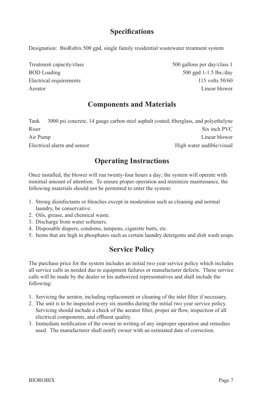## **Specifications**

Designation: BioRobix 500 gpd, single family residential wastewater treatment system

Treatment capacity/class 500 gallons per day/class 1 BOD Loading 500 gpd 1-1.5 lbs./day Electrical requirements 115 volts 50/60 Aerator Linear blower

## **Components and Materials**

Tank 3000 psi concrete, 14 gauge carbon steel asphalt coated, fiberglass, and polyethelyne Riser Six inch PVC Air Pump Linear blower Electrical alarm and sensor **Electrical** alarm and sensor

## **Operating Instructions**

Once installed, the blower will run twenty-four hours a day; the system will operate with minimal amount of attention. To ensure proper operation and minimize maintenance, the following materials should not be permitted to enter the system:

- 1. Strong disinfectants or bleaches except in moderation such as cleaning and normal laundry, be conservative.
- 2. Oils, grease, and chemical waste.
- 3. Discharge from water softeners.
- 4. Disposable diapers, condoms, tampons, cigarette butts, etc.
- 5. Items that are high in phosphates such as certain laundry detergents and dish wash soaps.

## **Service Policy**

The purchase price for the system includes an initial two year service policy which includes all service calls as needed due to equipment failures or manufacturer defects. These service calls will be made by the dealer or his authorized representatives and shall include the following:

- 1. Servicing the aerator, including replacement or cleaning of the inlet filter if necessary.
- 2. The unit is to be inspected every six months during the initial two year service policy. Servicing should include a check of the aerator filter, proper air flow, inspection of all electrical components, and effluent quality.
- 3. Immediate notification of the owner in writing of any improper operation and remedies used. The manufacturer shall notify owner with an estimated date of correction.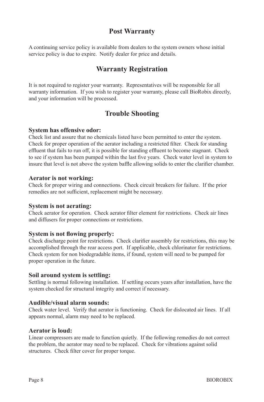### **Post Warranty**

A continuing service policy is available from dealers to the system owners whose initial service policy is due to expire. Notify dealer for price and details.

### **Warranty Registration**

It is not required to register your warranty. Representatives will be responsible for all warranty information. If you wish to register your warranty, please call BioRobix directly, and your information will be processed.

### **Trouble Shooting**

#### **System has offensive odor:**

Check list and assure that no chemicals listed have been permitted to enter the system. Check for proper operation of the aerator including a restricted filter. Check for standing effluent that fails to run off, it is possible for standing effluent to become stagnant. Check to see if system has been pumped within the last five years. Check water level in system to insure that level is not above the system baffle allowing solids to enter the clarifier chamber.

#### **Aerator is not working:**

Check for proper wiring and connections. Check circuit breakers for failure. If the prior remedies are not sufficient, replacement might be necessary.

#### **System is not aerating:**

Check aerator for operation. Check aerator filter element for restrictions. Check air lines and diffusers for proper connections or restrictions.

#### **System is not flowing properly:**

Check discharge point for restrictions. Check clarifier assembly for restrictions, this may be accomplished through the rear access port. If applicable, check chlorinator for restrictions. Check system for non biodegradable items, if found, system will need to be pumped for proper operation in the future.

#### **Soil around system is settling:**

Settling is normal following installation. If settling occurs years after installation, have the system checked for structural integrity and correct if necessary.

#### **Audible/visual alarm sounds:**

Check water level. Verify that aerator is functioning. Check for dislocated air lines. If all appears normal, alarm may need to be replaced.

#### **Aerator is loud:**

Linear compressors are made to function quietly. If the following remedies do not correct the problem, the aerator may need to be replaced. Check for vibrations against solid structures. Check filter cover for proper torque.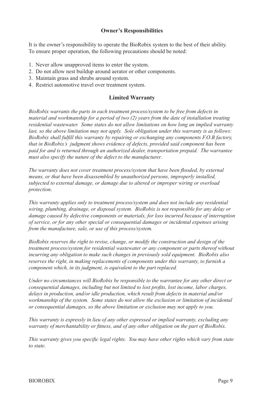#### **Owner's Responsibilities**

It is the owner's responsibility to operate the BioRobix system to the best of their ability. To ensure proper operation, the following precautions should be noted:

- 1. Never allow unapproved items to enter the system.
- 2. Do not allow nest buildup around aerator or other components.
- 3. Maintain grass and shrubs around system.
- 4. Restrict automotive travel over treatment system.

#### **Limited Warranty**

*BioRobix warrants the parts in each treatment process/system to be free from defects in material and workmanship for a period of two (2) years from the date of installation treating residential wastewater. Some states do not allow limitations on how long an implied warranty last, so the above limitation may not apply. Sole obligation under this warranty is as follows: BioRobix shall fulfill this warranty by repairing or exchanging any components F.O.B factory, that in BioRobix's judgment shows evidence of defects, provided said component has been paid for and is returned through an authorized dealer, transportation prepaid. The warrantee must also specify the nature of the defect to the manufacturer*.

*The warranty does not cover treatment process/system that have been flooded, by external means, or that have been disassembled by unauthorized persons, improperly installed, subjected to external damage, or damage due to altered or improper wiring or overload protection*.

*This warranty applies only to treatment process/system and does not include any residential wiring, plumbing, drainage, or disposal system. BioRobix is not responsible for any delay or damage caused by defective components or materials, for loss incurred because of interruption of service, or for any other special or consequential damages or incidental expenses arising from the manufacture, sale, or use of this process/system.*

*BioRobix reserves the right to revise, change, or modify the construction and design of the treatment process/system for residential wastewater or any component or parts thereof without incurring any obligation to make such changes in previously sold equipment. BioRobix also reserves the right, in making replacements of components under this warranty, to furnish a component which, in its judgment, is equivalent to the part replaced.*

*Under no circumstances will BioRobix be responsible to the warrantee for any other direct or consequential damages, including but not limited to lost profits, lost income, labor charges, delays in production, and/or idle production, which result from defects in material and/or workmanship of the system. Some states do not allow the exclusion or limitation of incidental or consequential damages, so the above limitation or exclusion may not apply to you.*

*This warranty is expressly in lieu of any other expressed or implied warranty, excluding any warranty of merchantability or fitness, and of any other obligation on the part of BioRobix.*

*This warranty gives you specific legal rights. You may have other rights which vary from state to state.*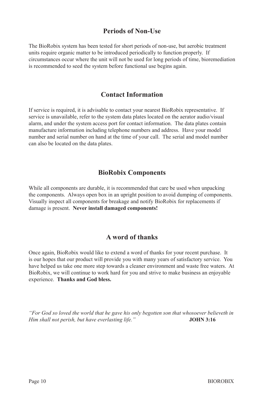#### **Periods of Non-Use**

The BioRobix system has been tested for short periods of non-use, but aerobic treatment units require organic matter to be introduced periodically to function properly. If circumstances occur where the unit will not be used for long periods of time, bioremediation is recommended to seed the system before functional use begins again.

#### **Contact Information**

If service is required, it is advisable to contact your nearest BioRobix representative. If service is unavailable, refer to the system data plates located on the aerator audio/visual alarm, and under the system access port for contact information. The data plates contain manufacture information including telephone numbers and address. Have your model number and serial number on hand at the time of your call. The serial and model number can also be located on the data plates.

### **BioRobix Components**

While all components are durable, it is recommended that care be used when unpacking the components. Always open box in an upright position to avoid dumping of components. Visually inspect all components for breakage and notify BioRobix for replacements if damage is present. **Never install damaged components!**

#### **A word of thanks**

Once again, BioRobix would like to extend a word of thanks for your recent purchase. It is our hopes that our product will provide you with many years of satisfactory service. You have helped us take one more step towards a cleaner environment and waste free waters. At BioRobix, we will continue to work hard for you and strive to make business an enjoyable experience. **Thanks and God bless.**

*"For God so loved the world that he gave his only begotten son that whosoever believeth in Him shall not perish, but have everlasting life.*" **JOHN 3:16**